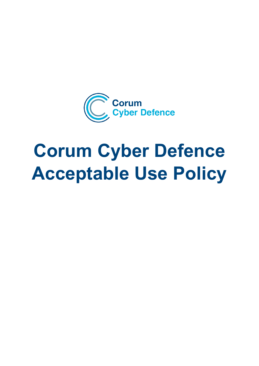

# **Corum Cyber Defence Acceptable Use Policy**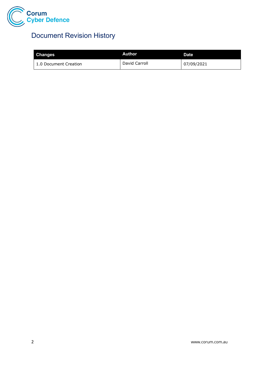

## Document Revision History

| <b>Changes</b>        | Author.       | <b>Date</b> |
|-----------------------|---------------|-------------|
| 1.0 Document Creation | David Carroll | 07/09/2021  |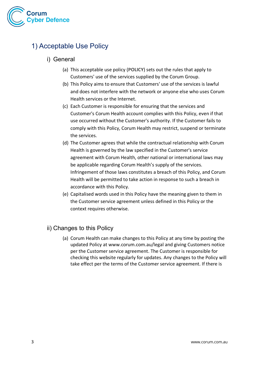

### 1) Acceptable Use Policy

#### i) General

- (a) This acceptable use policy (**POLICY**) sets out the rules that apply to Customers' use of the services supplied by the Corum Group.
- (b) This Policy aims to ensure that Customers' use of the services is lawful and does not interfere with the network or anyone else who uses Corum Health services or the Internet.
- (c) Each Customer is responsible for ensuring that the services and Customer's Corum Health account complies with this Policy, even if that use occurred without the Customer's authority. If the Customer fails to comply with this Policy, Corum Health may restrict, suspend or terminate the services.
- (d) The Customer agrees that while the contractual relationship with Corum Health is governed by the law specified in the Customer's service agreement with Corum Health, other national or international laws may be applicable regarding Corum Health's supply of the services. Infringement of those laws constitutes a breach of this Policy, and Corum Health will be permitted to take action in response to such a breach in accordance with this Policy.
- (e) Capitalised words used in this Policy have the meaning given to them in the Customer service agreement unless defined in this Policy or the context requires otherwise.

#### ii) Changes to this Policy

(a) Corum Health can make changes to this Policy at any time by posting the updated Policy at [www.corum.com.au/legal](https://www.corumgroup.com.au/legal/privacy-policy) and giving Customers notice per the Customer service agreement. The Customer is responsible for checking this website regularly for updates. Any changes to the Policy will take effect per the terms of the Customer service agreement. If there is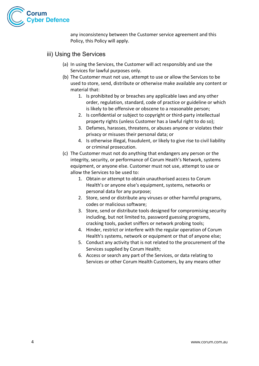

any inconsistency between the Customer service agreement and this Policy, this Policy will apply.

- iii) Using the Services
	- (a) In using the Services, the Customer will act responsibly and use the Services for lawful purposes only.
	- (b) The Customer must not use, attempt to use or allow the Services to be used to store, send, distribute or otherwise make available any content or material that:
		- 1. Is prohibited by or breaches any applicable laws and any other order, regulation, standard, code of practice or guideline or which is likely to be offensive or obscene to a reasonable person;
		- 2. Is confidential or subject to copyright or third-party intellectual property rights (unless Customer has a lawful right to do so);
		- 3. Defames, harasses, threatens, or abuses anyone or violates their privacy or misuses their personal data; or
		- 4. Is otherwise illegal, fraudulent, or likely to give rise to civil liability or criminal prosecution.
	- (c) The Customer must not do anything that endangers any person or the integrity, security, or performance of Corum Heath's Network, systems equipment, or anyone else. Customer must not use, attempt to use or allow the Services to be used to:
		- 1. Obtain or attempt to obtain unauthorised access to Corum Health's or anyone else's equipment, systems, networks or personal data for any purpose;
		- 2. Store, send or distribute any viruses or other harmful programs, codes or malicious software;
		- 3. Store, send or distribute tools designed for compromising security including, but not limited to, password guessing programs, cracking tools, packet sniffers or network probing tools;
		- 4. Hinder, restrict or interfere with the regular operation of Corum Health's systems, network or equipment or that of anyone else;
		- 5. Conduct any activity that is not related to the procurement of the Services supplied by Corum Health;
		- 6. Access or search any part of the Services, or data relating to Services or other Corum Health Customers, by any means other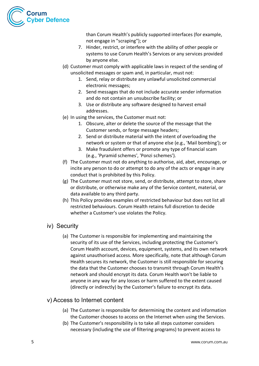

than Corum Health's publicly supported interfaces (for example, not engage in "scraping"); or

- 7. Hinder, restrict, or interfere with the ability of other people or systems to use Corum Health's Services or any services provided by anyone else.
- (d) Customer must comply with applicable laws in respect of the sending of unsolicited messages or spam and, in particular, must not:
	- 1. Send, relay or distribute any unlawful unsolicited commercial electronic messages;
	- 2. Send messages that do not include accurate sender information and do not contain an unsubscribe facility; or
	- 3. Use or distribute any software designed to harvest email addresses.
- (e) In using the services, the Customer must not:
	- 1. Obscure, alter or delete the source of the message that the Customer sends, or forge message headers;
	- 2. Send or distribute material with the intent of overloading the network or system or that of anyone else (e.g., 'Mail bombing'); or
	- 3. Make fraudulent offers or promote any type of financial scam (e.g., 'Pyramid schemes', 'Ponzi schemes').
- (f) The Customer must not do anything to authorise, aid, abet, encourage, or incite any person to do or attempt to do any of the acts or engage in any conduct that is prohibited by this Policy.
- (g) The Customer must not store, send, or distribute, attempt to store, share or distribute, or otherwise make any of the Service content, material, or data available to any third party.
- (h) This Policy provides examples of restricted behaviour but does not list all restricted behaviours. Corum Health retains full discretion to decide whether a Customer's use violates the Policy.
- iv) Security
	- (a) The Customer is responsible for implementing and maintaining the security of its use of the Services, including protecting the Customer's Corum Health account, devices, equipment, systems, and its own network against unauthorised access. More specifically, note that although Corum Health secures its network, the Customer is still responsible for securing the data that the Customer chooses to transmit through Corum Health's network and should encrypt its data. Corum Health won't be liable to anyone in any way for any losses or harm suffered to the extent caused (directly or indirectly) by the Customer's failure to encrypt its data.

#### v) Access to Internet content

- (a) The Customer is responsible for determining the content and information the Customer chooses to access on the Internet when using the Services.
- (b) The Customer's responsibility is to take all steps customer considers necessary (including the use of filtering programs) to prevent access to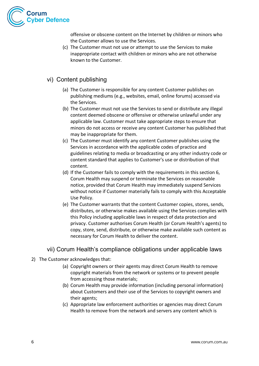

offensive or obscene content on the Internet by children or minors who the Customer allows to use the Services.

(c) The Customer must not use or attempt to use the Services to make inappropriate contact with children or minors who are not otherwise known to the Customer.

#### vi) Content publishing

- (a) The Customer is responsible for any content Customer publishes on publishing mediums (e.g., websites, email, online forums) accessed via the Services.
- (b) The Customer must not use the Services to send or distribute any illegal content deemed obscene or offensive or otherwise unlawful under any applicable law. Customer must take appropriate steps to ensure that minors do not access or receive any content Customer has published that may be inappropriate for them.
- (c) The Customer must identify any content Customer publishes using the Services in accordance with the applicable codes of practice and guidelines relating to media or broadcasting or any other industry code or content standard that applies to Customer's use or distribution of that content.
- (d) If the Customer fails to comply with the requirements in this section 6, Corum Health may suspend or terminate the Services on reasonable notice, provided that Corum Health may immediately suspend Services without notice if Customer materially fails to comply with this Acceptable Use Policy.
- (e) The Customer warrants that the content Customer copies, stores, sends, distributes, or otherwise makes available using the Services complies with this Policy including applicable laws in respect of data protection and privacy. Customer authorises Corum Health (or Corum Health's agents) to copy, store, send, distribute, or otherwise make available such content as necessary for Corum Health to deliver the content.

#### vii) Corum Health's compliance obligations under applicable laws

- 2) The Customer acknowledges that:
	- (a) Copyright owners or their agents may direct Corum Health to remove copyright materials from the network or systems or to prevent people from accessing those materials;
	- (b) Corum Health may provide information (including personal information) about Customers and their use of the Services to copyright owners and their agents;
	- (c) Appropriate law enforcement authorities or agencies may direct Corum Health to remove from the network and servers any content which is